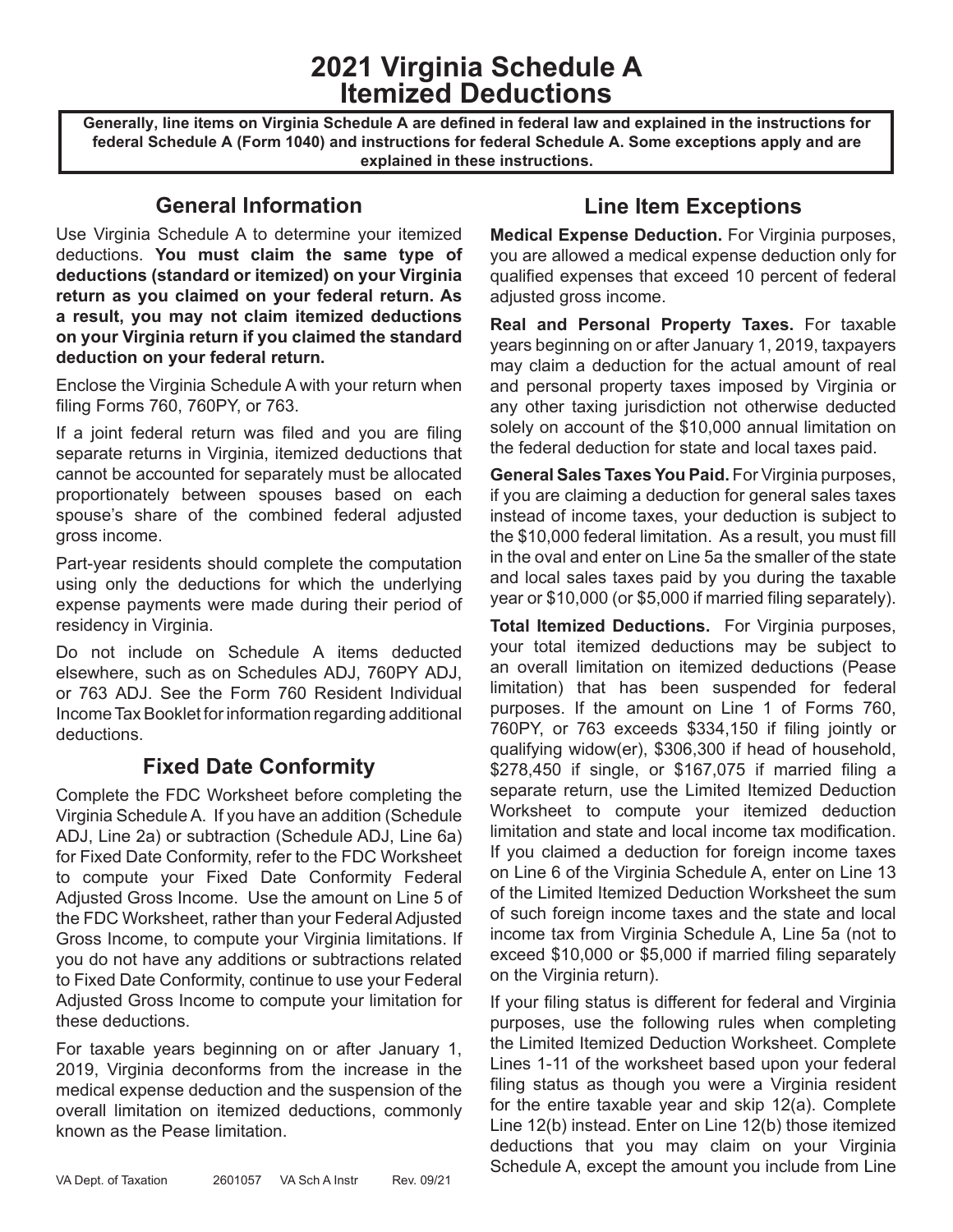**2021 Virginia Schedule A Itemized Deductions**

**Generally, line items on Virginia Schedule A are defined in federal law and explained in the instructions for federal Schedule A (Form 1040) and instructions for federal Schedule A. Some exceptions apply and are explained in these instructions.**

## **General Information**

Use Virginia Schedule A to determine your itemized deductions. **You must claim the same type of deductions (standard or itemized) on your Virginia return as you claimed on your federal return. As a result, you may not claim itemized deductions on your Virginia return if you claimed the standard deduction on your federal return.** 

Enclose the Virginia Schedule A with your return when filing Forms 760, 760PY, or 763.

If a joint federal return was filed and you are filing separate returns in Virginia, itemized deductions that cannot be accounted for separately must be allocated proportionately between spouses based on each spouse's share of the combined federal adjusted gross income.

Part-year residents should complete the computation using only the deductions for which the underlying expense payments were made during their period of residency in Virginia.

Do not include on Schedule A items deducted elsewhere, such as on Schedules ADJ, 760PY ADJ, or 763 ADJ. See the Form 760 Resident Individual Income Tax Booklet for information regarding additional deductions.

## **Fixed Date Conformity**

Complete the FDC Worksheet before completing the Virginia Schedule A. If you have an addition (Schedule ADJ, Line 2a) or subtraction (Schedule ADJ, Line 6a) for Fixed Date Conformity, refer to the FDC Worksheet to compute your Fixed Date Conformity Federal Adjusted Gross Income. Use the amount on Line 5 of the FDC Worksheet, rather than your Federal Adjusted Gross Income, to compute your Virginia limitations. If you do not have any additions or subtractions related to Fixed Date Conformity, continue to use your Federal Adjusted Gross Income to compute your limitation for these deductions.

For taxable years beginning on or after January 1, 2019, Virginia deconforms from the increase in the medical expense deduction and the suspension of the overall limitation on itemized deductions, commonly known as the Pease limitation.

## **Line Item Exceptions**

**Medical Expense Deduction.** For Virginia purposes, you are allowed a medical expense deduction only for qualified expenses that exceed 10 percent of federal adjusted gross income.

**Real and Personal Property Taxes.** For taxable years beginning on or after January 1, 2019, taxpayers may claim a deduction for the actual amount of real and personal property taxes imposed by Virginia or any other taxing jurisdiction not otherwise deducted solely on account of the \$10,000 annual limitation on the federal deduction for state and local taxes paid.

**General Sales Taxes You Paid.** For Virginia purposes, if you are claiming a deduction for general sales taxes instead of income taxes, your deduction is subject to the \$10,000 federal limitation. As a result, you must fill in the oval and enter on Line 5a the smaller of the state and local sales taxes paid by you during the taxable year or \$10,000 (or \$5,000 if married filing separately).

**Total Itemized Deductions.** For Virginia purposes, your total itemized deductions may be subject to an overall limitation on itemized deductions (Pease limitation) that has been suspended for federal purposes. If the amount on Line 1 of Forms 760, 760PY, or 763 exceeds \$334,150 if filing jointly or qualifying widow(er), \$306,300 if head of household, \$278,450 if single, or \$167,075 if married filing a separate return, use the Limited Itemized Deduction Worksheet to compute your itemized deduction limitation and state and local income tax modification. If you claimed a deduction for foreign income taxes on Line 6 of the Virginia Schedule A, enter on Line 13 of the Limited Itemized Deduction Worksheet the sum of such foreign income taxes and the state and local income tax from Virginia Schedule A, Line 5a (not to exceed \$10,000 or \$5,000 if married filing separately on the Virginia return).

If your filing status is different for federal and Virginia purposes, use the following rules when completing the Limited Itemized Deduction Worksheet. Complete Lines 1-11 of the worksheet based upon your federal filing status as though you were a Virginia resident for the entire taxable year and skip 12(a). Complete Line 12(b) instead. Enter on Line 12(b) those itemized deductions that you may claim on your Virginia VA Dept. of Taxation 2601057 VA Sch A Instr Rev. 09/21<br>VA Dept. of Taxation 2601057 VA Sch A Instr Rev. 09/21